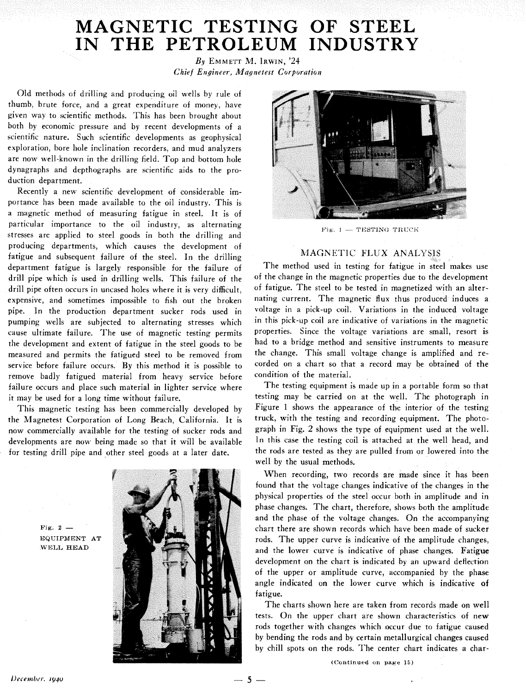# MAGNETIC TESTING OF STEEL **IN THE PETROLEUM INDUSTRY**

 $By$  EMMETT M. IRWIN,  $24$ *Chief Engineer, Magnetest Corporation* 

Old methods of drilling and producing oil wells by rule of thumb, brute force, and a great expenditure of money, have given way to scientific methods. This has been brought about both by economic pressure and by recent developments of a scientific nature. Such scientific developments as geophysical exploration, bore hole inclination recorders, and mud analyzers are now well-known in the drilling field. Top and bottom hole dynagraphs and depthographs are scientific aids to the production department.

Recently a new scientific development of considerable importance has been made available to the oil industry. This is a magnetic method of measuring fatigue in steel. It is of particular importance to the oil industry, as alternating stresses are applied to steel goods in both the drilling and producing departments, which causes the development of fatigue and subsequent failure of the steel. In the drilling department fatigue is largely responsible for the failure of drill pipe which is used in drilling wells. This failure of the drill pipe often occurs in uncased holes where it is very difficult, expensive, and sometimes impossible to fish out the broken pipe. In the production department sucker rods used in pumping wells are subjected to alternating stresses which cause ultimate failure. The use of magnetic testing: permits the development and extent of fatigue in the steel goods to be measured and permits the fatigued steel to be removed from service before failure occurs. By this method it is possible to remove badly fatigued material from heavy service before failure occurs and place such material in lighter service where it may be used for a long time without failure.

This magnetic testing has been commercially developed by the Magnetest Corporation of Long Beach, California. It is now commercially available for the testing of sucker rods and developments are now being made so that it will be available for testing drill pipe and other steel goods at a later date.

**Pig. 2** - **EQUIPMENT AT**  WELL **HEAD** 





Fig. 1  $-$  TESTING TRUCK

## MAGNETIC FLUX ANALYSIS

The method used in testing for fatigue in steel makes use of the change in the magnetic properties due to the development of fatigue. The steel to be tested in magnetized with an alternating current. The magnetic flux thus produced induces a voltage in a pick-up coil. Variations in the induced voltage in this pick-up coil are indicative of variations in the magnetic properties. Since the voltage variations are small, resort is had to a bridge method and sensitive instruments to measure the change. This small voltage change is amplified and recorded on a chart so that a record may be obtained of the condition of the material.

The testing equipment is made up in a portable form so that testing may be carried on at the well. The photograph in Figure 1 shows the appearance of the interior of the testing truck, with the testing and recording equipment. The photograph in Fig. 2 shows the type of equipment used at the well. In this case the testing coil is attached at the well head, and the rods are tested as they are pulled from or lowered into the well by the usual methods.

When recording, two records are made since it has been found that the voltage changes indicative of the changes in the physical properties of the steel occur both in amplitude and in phase changes. The chart, therefore, shows both the amplitude and the phase of the voltage changes. On the accompanying chart there are shown records which have been made of sucker rods. The upper curve is indicative of the amplitude changes, and the lower curve is indicative of phase changes. Fatigue development on the chart is indicated by an upward deflection of the upper or amplitude curve, accompanied by the phase angle indicated on the lower curve which is indicative **of**  fatigue.

The charts shown here are taken from records made on well tests. On the upper chart are shown characteristics of new rods together with changes which occur due to fatigue caused by bending the rods and by certain metallurgical changes caused by chill spots on the rods. The center chart indicates a char-

**(Continued** on **page 15)** 

 $-5 -$